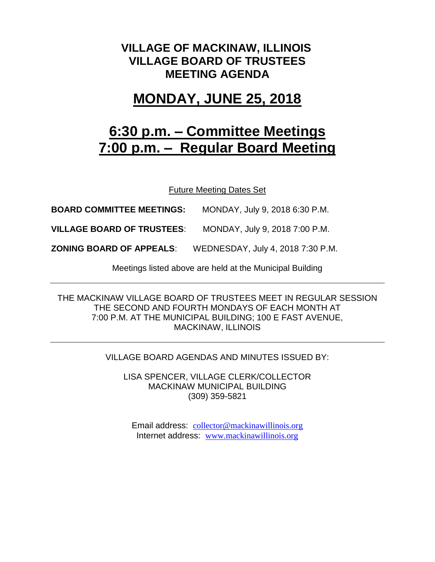## **VILLAGE OF MACKINAW, ILLINOIS VILLAGE BOARD OF TRUSTEES MEETING AGENDA**

## **MONDAY, JUNE 25, 2018**

# **6:30 p.m. – Committee Meetings 7:00 p.m. – Regular Board Meeting**

Future Meeting Dates Set

**BOARD COMMITTEE MEETINGS:** MONDAY, July 9, 2018 6:30 P.M.

**VILLAGE BOARD OF TRUSTEES**: MONDAY, July 9, 2018 7:00 P.M.

**ZONING BOARD OF APPEALS**: WEDNESDAY, July 4, 2018 7:30 P.M.

Meetings listed above are held at the Municipal Building

THE MACKINAW VILLAGE BOARD OF TRUSTEES MEET IN REGULAR SESSION THE SECOND AND FOURTH MONDAYS OF EACH MONTH AT 7:00 P.M. AT THE MUNICIPAL BUILDING; 100 E FAST AVENUE, MACKINAW, ILLINOIS

#### VILLAGE BOARD AGENDAS AND MINUTES ISSUED BY:

LISA SPENCER, VILLAGE CLERK/COLLECTOR MACKINAW MUNICIPAL BUILDING (309) 359-5821

Email address: [collector@mackinawillinois.org](mailto:collector@mackinawillinois.org) Internet address: [www.mackinawillinois.org](http://www.mackinawillinois.org/)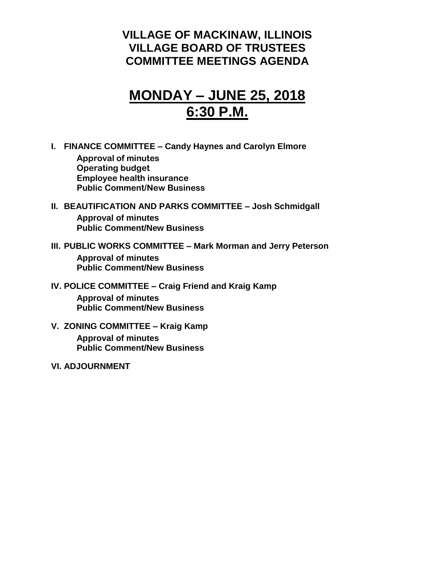### **VILLAGE OF MACKINAW, ILLINOIS VILLAGE BOARD OF TRUSTEES COMMITTEE MEETINGS AGENDA**

## **MONDAY – JUNE 25, 2018 6:30 P.M.**

**I. FINANCE COMMITTEE – Candy Haynes and Carolyn Elmore**

**Approval of minutes Operating budget Employee health insurance Public Comment/New Business**

#### **II. BEAUTIFICATION AND PARKS COMMITTEE – Josh Schmidgall Approval of minutes Public Comment/New Business**

### **III. PUBLIC WORKS COMMITTEE – Mark Morman and Jerry Peterson**

**Approval of minutes Public Comment/New Business**

#### **IV. POLICE COMMITTEE – Craig Friend and Kraig Kamp**

**Approval of minutes Public Comment/New Business**

### **V. ZONING COMMITTEE – Kraig Kamp**

**Approval of minutes Public Comment/New Business**

#### **VI. ADJOURNMENT**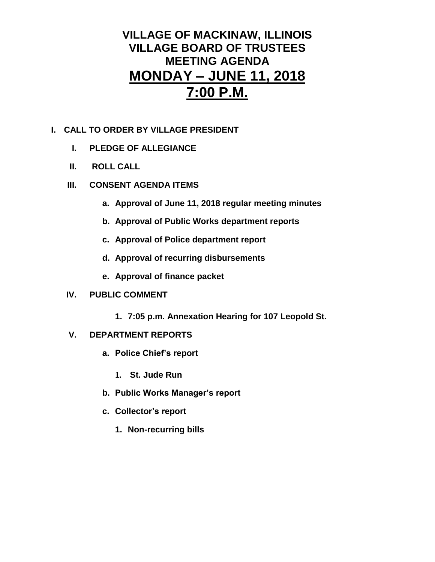## **VILLAGE OF MACKINAW, ILLINOIS VILLAGE BOARD OF TRUSTEES MEETING AGENDA MONDAY – JUNE 11, 2018 7:00 P.M.**

#### **I. CALL TO ORDER BY VILLAGE PRESIDENT**

- **I. PLEDGE OF ALLEGIANCE**
- **II. ROLL CALL**
- **III. CONSENT AGENDA ITEMS** 
	- **a. Approval of June 11, 2018 regular meeting minutes**
	- **b. Approval of Public Works department reports**
	- **c. Approval of Police department report**
	- **d. Approval of recurring disbursements**
	- **e. Approval of finance packet**

#### **IV. PUBLIC COMMENT**

**1. 7:05 p.m. Annexation Hearing for 107 Leopold St.**

#### **V. DEPARTMENT REPORTS**

- **a. Police Chief's report**
	- **1. St. Jude Run**
- **b. Public Works Manager's report**
- **c. Collector's report**
	- **1. Non-recurring bills**